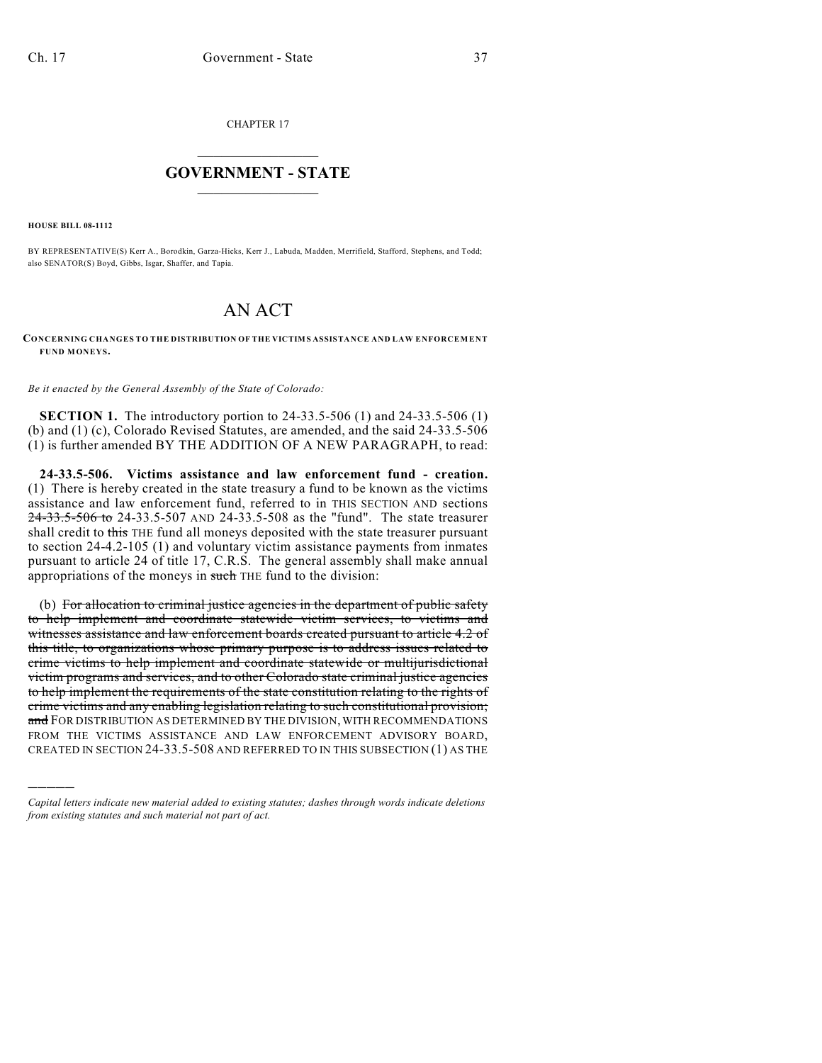CHAPTER 17

## $\overline{\phantom{a}}$  . The set of the set of the set of the set of the set of the set of the set of the set of the set of the set of the set of the set of the set of the set of the set of the set of the set of the set of the set o **GOVERNMENT - STATE**  $\_$   $\_$   $\_$   $\_$   $\_$   $\_$   $\_$   $\_$

**HOUSE BILL 08-1112**

)))))

BY REPRESENTATIVE(S) Kerr A., Borodkin, Garza-Hicks, Kerr J., Labuda, Madden, Merrifield, Stafford, Stephens, and Todd; also SENATOR(S) Boyd, Gibbs, Isgar, Shaffer, and Tapia.

## AN ACT

## **CONCERNING CHANGES TO THE DISTRIBUTION OF THE VICTIMS ASSISTANCE AND LAW ENFORCEMENT FUND MONEYS.**

*Be it enacted by the General Assembly of the State of Colorado:*

**SECTION 1.** The introductory portion to 24-33.5-506 (1) and 24-33.5-506 (1) (b) and (1) (c), Colorado Revised Statutes, are amended, and the said 24-33.5-506 (1) is further amended BY THE ADDITION OF A NEW PARAGRAPH, to read:

**24-33.5-506. Victims assistance and law enforcement fund - creation.** (1) There is hereby created in the state treasury a fund to be known as the victims assistance and law enforcement fund, referred to in THIS SECTION AND sections 24-33.5-506 to 24-33.5-507 AND 24-33.5-508 as the "fund". The state treasurer shall credit to this THE fund all moneys deposited with the state treasurer pursuant to section 24-4.2-105 (1) and voluntary victim assistance payments from inmates pursuant to article 24 of title 17, C.R.S. The general assembly shall make annual appropriations of the moneys in such THE fund to the division:

(b) For allocation to criminal justice agencies in the department of public safety to help implement and coordinate statewide victim services, to victims and witnesses assistance and law enforcement boards created pursuant to article 4.2 of this title, to organizations whose primary purpose is to address issues related to crime victims to help implement and coordinate statewide or multijurisdictional victim programs and services, and to other Colorado state criminal justice agencies to help implement the requirements of the state constitution relating to the rights of crime victims and any enabling legislation relating to such constitutional provision; and FOR DISTRIBUTION AS DETERMINED BY THE DIVISION, WITH RECOMMENDATIONS FROM THE VICTIMS ASSISTANCE AND LAW ENFORCEMENT ADVISORY BOARD, CREATED IN SECTION 24-33.5-508 AND REFERRED TO IN THIS SUBSECTION (1) AS THE

*Capital letters indicate new material added to existing statutes; dashes through words indicate deletions from existing statutes and such material not part of act.*